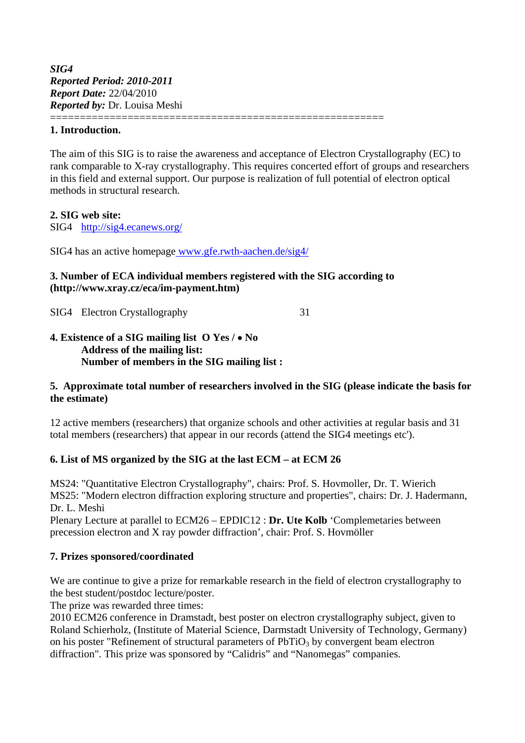### **1. Introduction.**

The aim of this SIG is to raise the awareness and acceptance of Electron Crystallography (EC) to rank comparable to X-ray crystallography. This requires concerted effort of groups and researchers in this field and external support. Our purpose is realization of full potential of electron optical methods in structural research.

## **2. SIG web site:**

SIG4 http://sig4.ecanews.org/

SIG4 has an active homepage www.gfe.rwth-aachen.de/sig4/

## **3. Number of ECA individual members registered with the SIG according to (http://www.xray.cz/eca/im-payment.htm)**

========================================================

SIG4 Electron Crystallography 31

### **4. Existence of a SIG mailing list O Yes / No Address of the mailing list: Number of members in the SIG mailing list :**

## **5. Approximate total number of researchers involved in the SIG (please indicate the basis for the estimate)**

12 active members (researchers) that organize schools and other activities at regular basis and 31 total members (researchers) that appear in our records (attend the SIG4 meetings etc').

## **6. List of MS organized by the SIG at the last ECM – at ECM 26**

MS24: "Quantitative Electron Crystallography", chairs: Prof. S. Hovmoller, Dr. T. Wierich MS25: "Modern electron diffraction exploring structure and properties", chairs: Dr. J. Hadermann, Dr. L. Meshi

Plenary Lecture at parallel to ECM26 – EPDIC12 : **Dr. Ute Kolb** 'Complemetaries between precession electron and X ray powder diffraction', chair: Prof. S. Hovmöller

## **7. Prizes sponsored/coordinated**

We are continue to give a prize for remarkable research in the field of electron crystallography to the best student/postdoc lecture/poster.

The prize was rewarded three times:

2010 ECM26 conference in Dramstadt, best poster on electron crystallography subject, given to Roland Schierholz, (Institute of Material Science, Darmstadt University of Technology, Germany) on his poster "Refinement of structural parameters of  $PbTiO<sub>3</sub>$  by convergent beam electron diffraction". This prize was sponsored by "Calidris" and "Nanomegas" companies.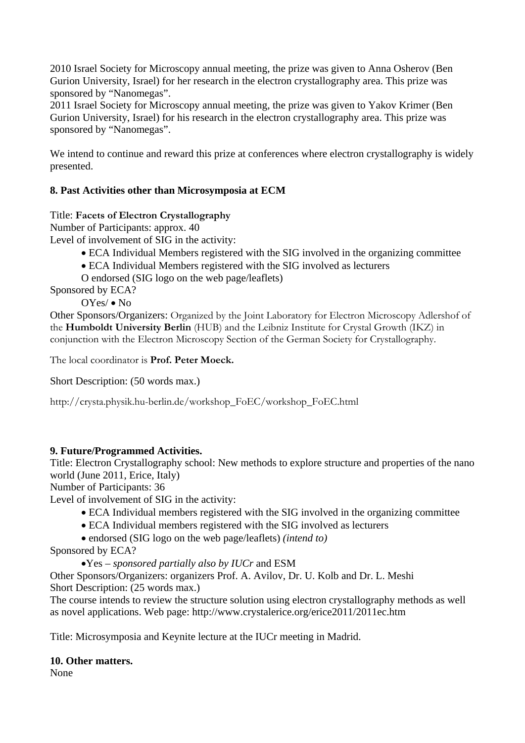2010 Israel Society for Microscopy annual meeting, the prize was given to Anna Osherov (Ben Gurion University, Israel) for her research in the electron crystallography area. This prize was sponsored by "Nanomegas".

2011 Israel Society for Microscopy annual meeting, the prize was given to Yakov Krimer (Ben Gurion University, Israel) for his research in the electron crystallography area. This prize was sponsored by "Nanomegas".

We intend to continue and reward this prize at conferences where electron crystallography is widely presented.

# **8. Past Activities other than Microsymposia at ECM**

Title: **Facets of Electron Crystallography**

Number of Participants: approx. 40

Level of involvement of SIG in the activity:

- ECA Individual Members registered with the SIG involved in the organizing committee
- ECA Individual Members registered with the SIG involved as lecturers
- O endorsed (SIG logo on the web page/leaflets)

Sponsored by ECA?

OYes/ • No

Other Sponsors/Organizers: Organized by the Joint Laboratory for Electron Microscopy Adlershof of the **Humboldt University Berlin** (HUB) and the Leibniz Institute for Crystal Growth (IKZ) in conjunction with the Electron Microscopy Section of the German Society for Crystallography.

The local coordinator is **Prof. Peter Moeck.**

Short Description: (50 words max.)

http://crysta.physik.hu-berlin.de/workshop\_FoEC/workshop\_FoEC.html

## **9. Future/Programmed Activities.**

Title: Electron Crystallography school: New methods to explore structure and properties of the nano world (June 2011, Erice, Italy)

Number of Participants: 36

Level of involvement of SIG in the activity:

- ECA Individual members registered with the SIG involved in the organizing committee
- ECA Individual members registered with the SIG involved as lecturers

endorsed (SIG logo on the web page/leaflets) *(intend to)*

Sponsored by ECA?

Yes – *sponsored partially also by IUCr* and ESM

Other Sponsors/Organizers: organizers Prof. A. Avilov, Dr. U. Kolb and Dr. L. Meshi Short Description: (25 words max.)

The course intends to review the structure solution using electron crystallography methods as well as novel applications. Web page: http://www.crystalerice.org/erice2011/2011ec.htm

Title: Microsymposia and Keynite lecture at the IUCr meeting in Madrid.

#### **10. Other matters.**

None